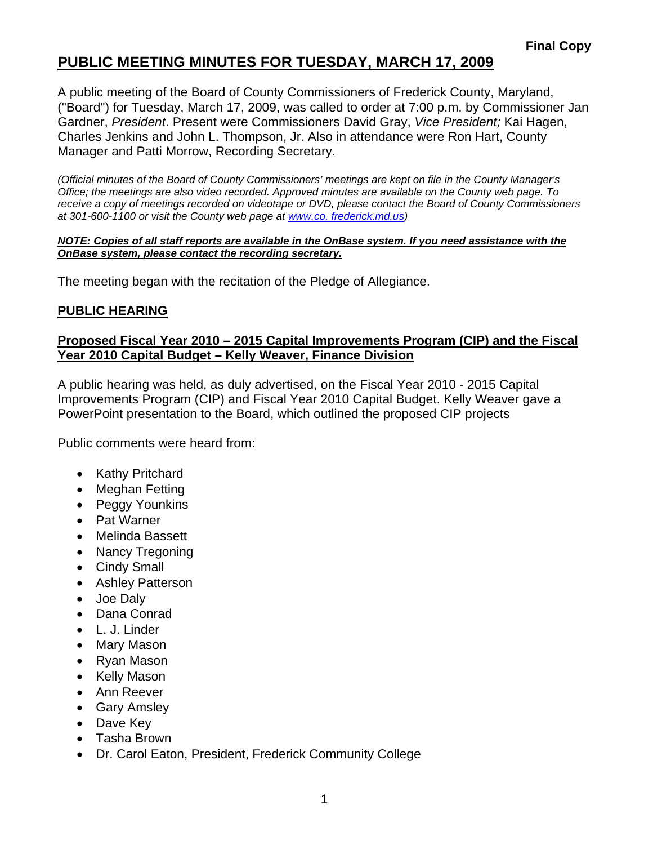# **PUBLIC MEETING MINUTES FOR TUESDAY, MARCH 17, 2009**

A public meeting of the Board of County Commissioners of Frederick County, Maryland, ("Board") for Tuesday, March 17, 2009, was called to order at 7:00 p.m. by Commissioner Jan Gardner, *President*. Present were Commissioners David Gray, *Vice President;* Kai Hagen, Charles Jenkins and John L. Thompson, Jr. Also in attendance were Ron Hart, County Manager and Patti Morrow, Recording Secretary.

*(Official minutes of the Board of County Commissioners' meetings are kept on file in the County Manager's Office; the meetings are also video recorded. Approved minutes are available on the County web page. To receive a copy of meetings recorded on videotape or DVD, please contact the Board of County Commissioners at 301-600-1100 or visit the County web page at [www.co](http://www.co/). frederick.md.us)* 

#### *NOTE: Copies of all staff reports are available in the OnBase system. If you need assistance with the OnBase system, please contact the recording secretary.*

The meeting began with the recitation of the Pledge of Allegiance.

### **PUBLIC HEARING**

#### **Proposed Fiscal Year 2010 – 2015 Capital Improvements Program (CIP) and the Fiscal Year 2010 Capital Budget – Kelly Weaver, Finance Division**

A public hearing was held, as duly advertised, on the Fiscal Year 2010 - 2015 Capital Improvements Program (CIP) and Fiscal Year 2010 Capital Budget. Kelly Weaver gave a PowerPoint presentation to the Board, which outlined the proposed CIP projects

Public comments were heard from:

- Kathy Pritchard
- Meghan Fetting
- Peggy Younkins
- Pat Warner
- Melinda Bassett
- Nancy Tregoning
- Cindy Small
- **Ashley Patterson**
- Joe Daly
- Dana Conrad
- L. J. Linder
- Mary Mason
- Ryan Mason
- Kelly Mason
- Ann Reever
- Gary Amsley
- Dave Key
- Tasha Brown
- Dr. Carol Eaton, President, Frederick Community College